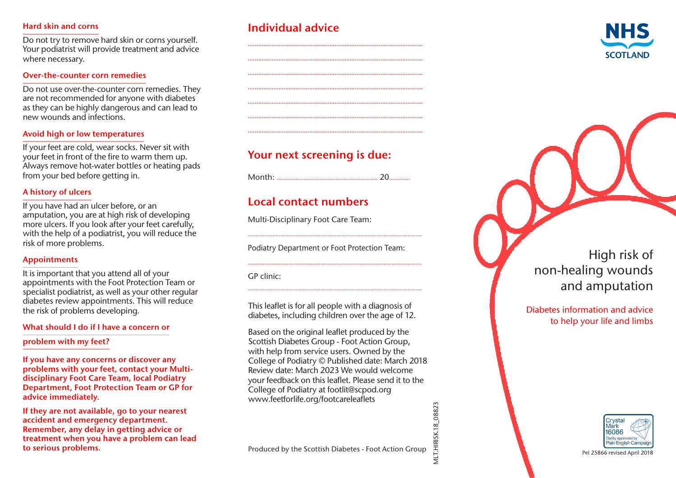#### Hard skin and corns

Do not try to remove hard skin or corns yourself. Your podiatrist will provide treatment and advice where necessary.

#### Over-the-counter corn remedies

Do not use over-the-counter corn remedies. They are not recommended for anyone with diabetes as they can be highly dangerous and can lead to new wounds and infections.

#### Avoid high or low temperatures

If your feet are cold, wear socks. Never sit with your feet in front of the fire to warm them up. Always remove hot-water bottles or heating pads from your bed before getting in.

### A history of ulcers

If you have had an ulcer before, or an amputation, you are at high risk of developing more ulcers. If you look after your feet carefully, with the help of a podiatrist, you will reduce the risk of more problems.

#### Appointments

It is important that you attend all of your appointments with the Foot Protection Team or specialist podiatrist, as well as your other regular diabetes review appointments. This will reduce the risk of problems developing .

#### What should I do if I have a concern or

problem with my feet?

If you have any concerns or discover any problems with your feet, contact your Multidisciplinary Foot Care Team, local Podiatry Department, Foot Protection Team or GP for advice immediately.

If they are not available, go to your nearest accident and emergency department. Remember, any delay in getting advice or treatment when you have a problem can lead to serious problems.

# Individual advice



# Your next screening is due:

.......................................................................................................

.......................................................................................................

Month: ……………...........................................….. 20…….......

# Local contact numbers

Multi-Disciplinary Foot Care Team:

Podiatry Department or Foot Protection Team:

............................................................................................................

............................................................................................................

............................................................................................................

GP clinic:

This leaflet is for all people with a diagnosis of diabetes, including children over the age of 12.

Based on the original leaflet produced by the Scottish Diabetes Group - Foot Action Group, with help from service users. Owned by the College of Podiatry © Published date: March 2018 Review date: March 2023 We would welcome your feedback on this leaflet. Please send it to the College of Podiatry at footlit@scpod.org www.feetforlife.org/footcareleaflets

High risk of non-healing wounds and amputation

Diabetes information and advice to help your life and limbs